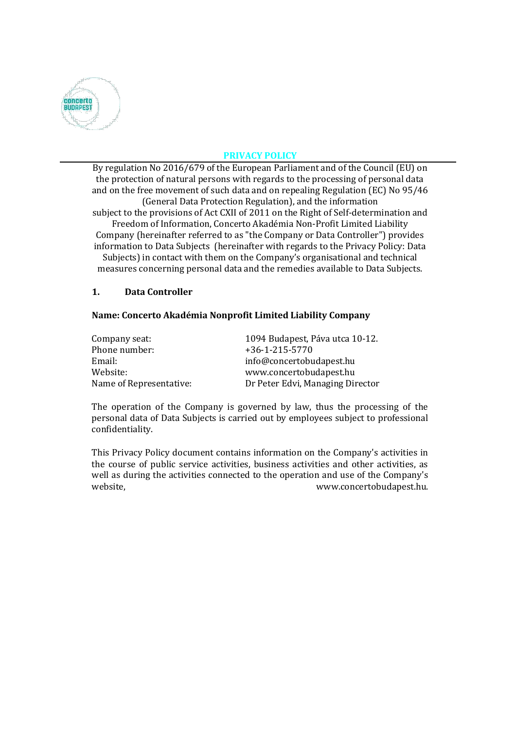

# **PRIVACY POLICY**

By regulation No 2016/679 of the European Parliament and of the Council (EU) on the protection of natural persons with regards to the processing of personal data and on the free movement of such data and on repealing Regulation (EC) No 95/46 (General Data Protection Regulation), and the information subject to the provisions of Act CXII of 2011 on the Right of Self-determination and Freedom of Information, Concerto Akadémia Non-Profit Limited Liability Company (hereinafter referred to as "the Company or Data Controller") provides information to Data Subjects (hereinafter with regards to the Privacy Policy: Data Subjects) in contact with them on the Company's organisational and technical measures concerning personal data and the remedies available to Data Subjects.

#### **1. Data Controller**

#### **Name: Concerto Akadémia Nonprofit Limited Liability Company**

| Company seat:           | 1094 Budapest, Páva utca 10-12.  |
|-------------------------|----------------------------------|
| Phone number:           | $+36-1-215-5770$                 |
| Email:                  | info@concertobudapest.hu         |
| Website:                | www.concertobudapest.hu          |
| Name of Representative: | Dr Peter Edvi, Managing Director |

The operation of the Company is governed by law, thus the processing of the personal data of Data Subjects is carried out by employees subject to professional confidentiality.

This Privacy Policy document contains information on the Company's activities in the course of public service activities, business activities and other activities, as well as during the activities connected to the operation and use of the Company's website, website,  $www.concurrentobudapest.hu.$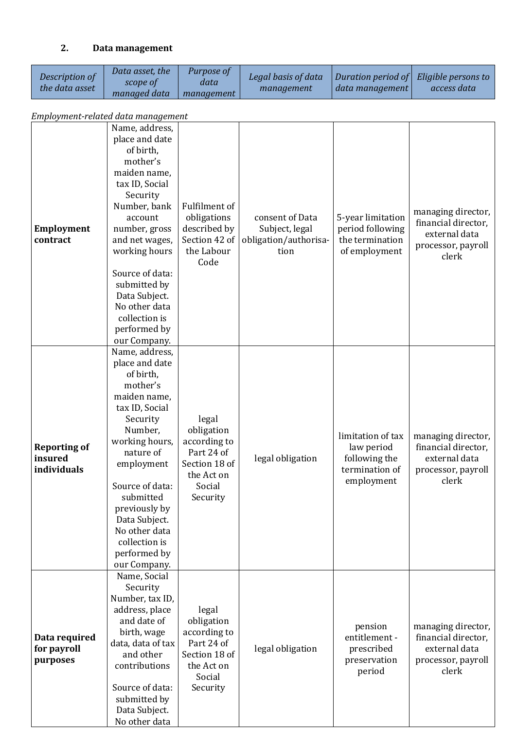# **2. Data management**

| Description of<br>the data asset              | Data asset, the<br>scope of<br>managed data                                                                                                                                                                                                                                                                  | Purpose of<br>data<br>management                                                                       | Legal basis of data<br>management                                  | Duration period of<br>data management                                            | Eligible persons to<br>access data                                                        |
|-----------------------------------------------|--------------------------------------------------------------------------------------------------------------------------------------------------------------------------------------------------------------------------------------------------------------------------------------------------------------|--------------------------------------------------------------------------------------------------------|--------------------------------------------------------------------|----------------------------------------------------------------------------------|-------------------------------------------------------------------------------------------|
| Employment-related data management            |                                                                                                                                                                                                                                                                                                              |                                                                                                        |                                                                    |                                                                                  |                                                                                           |
| <b>Employment</b><br>contract                 | Name, address,<br>place and date<br>of birth,<br>mother's<br>maiden name,<br>tax ID, Social<br>Security<br>Number, bank<br>account<br>number, gross<br>and net wages,<br>working hours<br>Source of data:<br>submitted by<br>Data Subject.<br>No other data<br>collection is<br>performed by<br>our Company. | Fulfilment of<br>obligations<br>described by<br>Section 42 of<br>the Labour<br>Code                    | consent of Data<br>Subject, legal<br>obligation/authorisa-<br>tion | 5-year limitation<br>period following<br>the termination<br>of employment        | managing director,<br>financial director,<br>external data<br>processor, payroll<br>clerk |
| <b>Reporting of</b><br>insured<br>individuals | Name, address,<br>place and date<br>of birth,<br>mother's<br>maiden name,<br>tax ID, Social<br>Security<br>Number,<br>working hours,<br>nature of<br>employment<br>Source of data:<br>submitted<br>previously by<br>Data Subject.<br>No other data<br>collection is<br>performed by<br>our Company.          | legal<br>obligation<br>according to<br>Part 24 of<br>Section 18 of<br>the Act on<br>Social<br>Security | legal obligation                                                   | limitation of tax<br>law period<br>following the<br>termination of<br>employment | managing director,<br>financial director,<br>external data<br>processor, payroll<br>clerk |
| Data required<br>for payroll<br>purposes      | Name, Social<br>Security<br>Number, tax ID,<br>address, place<br>and date of<br>birth, wage<br>data, data of tax<br>and other<br>contributions<br>Source of data:<br>submitted by<br>Data Subject.<br>No other data                                                                                          | legal<br>obligation<br>according to<br>Part 24 of<br>Section 18 of<br>the Act on<br>Social<br>Security | legal obligation                                                   | pension<br>entitlement -<br>prescribed<br>preservation<br>period                 | managing director,<br>financial director,<br>external data<br>processor, payroll<br>clerk |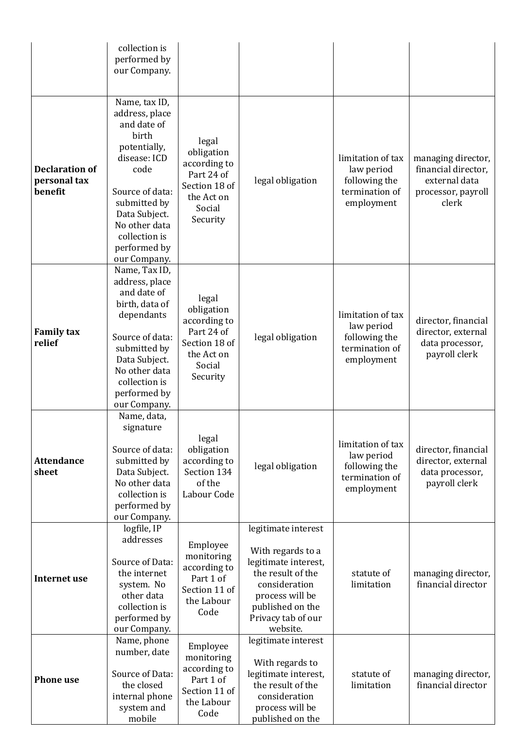|                                                  | collection is<br>performed by<br>our Company.                                                                                                                                                                         |                                                                                                        |                                                                                                                                                                                 |                                                                                  |                                                                                           |
|--------------------------------------------------|-----------------------------------------------------------------------------------------------------------------------------------------------------------------------------------------------------------------------|--------------------------------------------------------------------------------------------------------|---------------------------------------------------------------------------------------------------------------------------------------------------------------------------------|----------------------------------------------------------------------------------|-------------------------------------------------------------------------------------------|
|                                                  |                                                                                                                                                                                                                       |                                                                                                        |                                                                                                                                                                                 |                                                                                  |                                                                                           |
| <b>Declaration of</b><br>personal tax<br>benefit | Name, tax ID,<br>address, place<br>and date of<br>birth<br>potentially,<br>disease: ICD<br>code<br>Source of data:<br>submitted by<br>Data Subject.<br>No other data<br>collection is<br>performed by<br>our Company. | legal<br>obligation<br>according to<br>Part 24 of<br>Section 18 of<br>the Act on<br>Social<br>Security | legal obligation                                                                                                                                                                | limitation of tax<br>law period<br>following the<br>termination of<br>employment | managing director,<br>financial director,<br>external data<br>processor, payroll<br>clerk |
| <b>Family tax</b><br>relief                      | Name, Tax ID,<br>address, place<br>and date of<br>birth, data of<br>dependants<br>Source of data:<br>submitted by<br>Data Subject.<br>No other data<br>collection is<br>performed by<br>our Company.                  | legal<br>obligation<br>according to<br>Part 24 of<br>Section 18 of<br>the Act on<br>Social<br>Security | legal obligation                                                                                                                                                                | limitation of tax<br>law period<br>following the<br>termination of<br>employment | director, financial<br>director, external<br>data processor,<br>payroll clerk             |
| <b>Attendance</b><br>sheet                       | Name, data,<br>signature<br>Source of data:<br>submitted by<br>Data Subject.<br>No other data<br>collection is<br>performed by<br>our Company.                                                                        | legal<br>obligation<br>according to<br>Section 134<br>of the<br>Labour Code                            | legal obligation                                                                                                                                                                | limitation of tax<br>law period<br>following the<br>termination of<br>employment | director, financial<br>director, external<br>data processor,<br>payroll clerk             |
| <b>Internet use</b>                              | logfile, IP<br>addresses<br>Source of Data:<br>the internet<br>system. No<br>other data<br>collection is<br>performed by<br>our Company.                                                                              | Employee<br>monitoring<br>according to<br>Part 1 of<br>Section 11 of<br>the Labour<br>Code             | legitimate interest<br>With regards to a<br>legitimate interest,<br>the result of the<br>consideration<br>process will be<br>published on the<br>Privacy tab of our<br>website. | statute of<br>limitation                                                         | managing director,<br>financial director                                                  |
| <b>Phone use</b>                                 | Name, phone<br>number, date<br>Source of Data:<br>the closed<br>internal phone<br>system and<br>mobile                                                                                                                | Employee<br>monitoring<br>according to<br>Part 1 of<br>Section 11 of<br>the Labour<br>Code             | legitimate interest<br>With regards to<br>legitimate interest,<br>the result of the<br>consideration<br>process will be<br>published on the                                     | statute of<br>limitation                                                         | managing director,<br>financial director                                                  |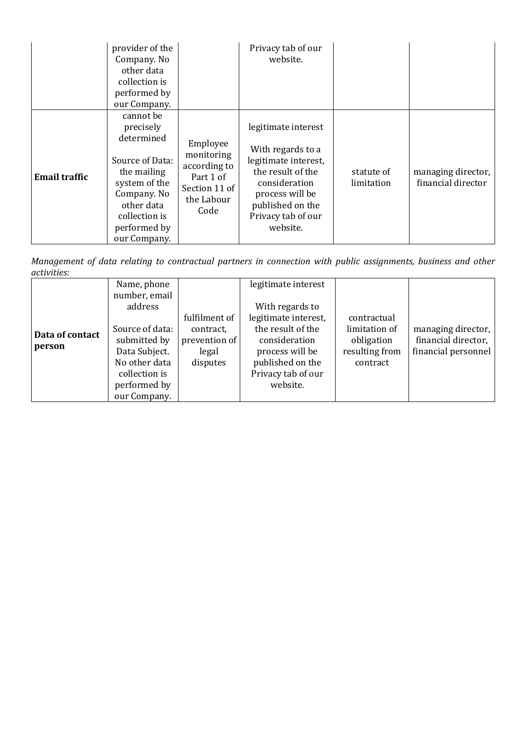|                      | provider of the<br>Company. No<br>other data<br>collection is<br>performed by<br>our Company.                                                                         |                                                                                            | Privacy tab of our<br>website.                                                                                                                                                  |                          |                                          |
|----------------------|-----------------------------------------------------------------------------------------------------------------------------------------------------------------------|--------------------------------------------------------------------------------------------|---------------------------------------------------------------------------------------------------------------------------------------------------------------------------------|--------------------------|------------------------------------------|
| <b>Email traffic</b> | cannot be<br>precisely<br>determined<br>Source of Data:<br>the mailing<br>system of the<br>Company. No<br>other data<br>collection is<br>performed by<br>our Company. | Employee<br>monitoring<br>according to<br>Part 1 of<br>Section 11 of<br>the Labour<br>Code | legitimate interest<br>With regards to a<br>legitimate interest,<br>the result of the<br>consideration<br>process will be<br>published on the<br>Privacy tab of our<br>website. | statute of<br>limitation | managing director,<br>financial director |

*Management of data relating to contractual partners in connection with public assignments, business and other activities:* 

| Data of contact<br>person | Name, phone<br>number, email<br>address<br>Source of data:<br>submitted by<br>Data Subject.<br>No other data<br>collection is<br>performed by | fulfilment of<br>contract,<br>prevention of<br>legal<br>disputes | legitimate interest<br>With regards to<br>legitimate interest,<br>the result of the<br>consideration<br>process will be<br>published on the<br>Privacy tab of our<br>website. | contractual<br>limitation of<br>obligation<br>resulting from<br>contract | managing director,<br>financial director,<br>financial personnel |
|---------------------------|-----------------------------------------------------------------------------------------------------------------------------------------------|------------------------------------------------------------------|-------------------------------------------------------------------------------------------------------------------------------------------------------------------------------|--------------------------------------------------------------------------|------------------------------------------------------------------|
|                           | our Company.                                                                                                                                  |                                                                  |                                                                                                                                                                               |                                                                          |                                                                  |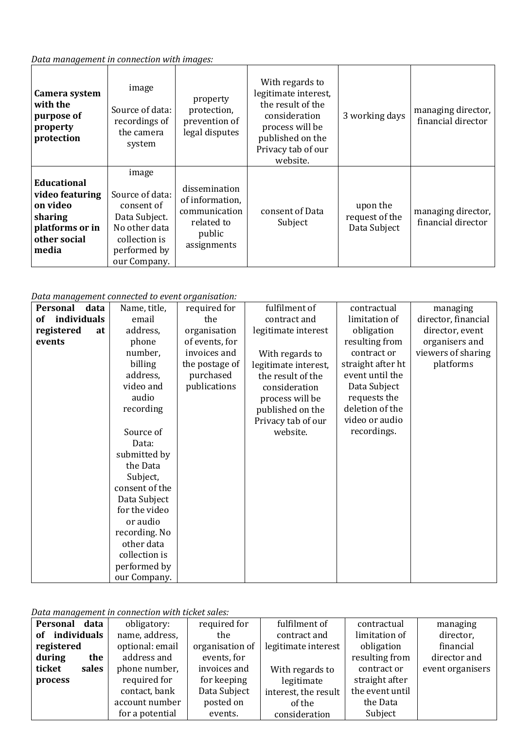#### *Data management in connection with images:*

| Camera system<br>with the<br>purpose of<br>property<br>protection                                        | image<br>Source of data:<br>recordings of<br>the camera<br>system                                                         | property<br>protection,<br>prevention of<br>legal disputes                               | With regards to<br>legitimate interest,<br>the result of the<br>consideration<br>process will be<br>published on the<br>Privacy tab of our<br>website. | 3 working days                             | managing director,<br>financial director |
|----------------------------------------------------------------------------------------------------------|---------------------------------------------------------------------------------------------------------------------------|------------------------------------------------------------------------------------------|--------------------------------------------------------------------------------------------------------------------------------------------------------|--------------------------------------------|------------------------------------------|
| <b>Educational</b><br>video featuring<br>on video<br>sharing<br>platforms or in<br>other social<br>media | image<br>Source of data:<br>consent of<br>Data Subject.<br>No other data<br>collection is<br>performed by<br>our Company. | dissemination<br>of information,<br>communication<br>related to<br>public<br>assignments | consent of Data<br>Subject                                                                                                                             | upon the<br>request of the<br>Data Subject | managing director,<br>financial director |

*Data management connected to event organisation:*

| риса танадетске соннессей со сусте огдинзисты. |               |                |                      |                   |                     |
|------------------------------------------------|---------------|----------------|----------------------|-------------------|---------------------|
| Personal<br>data                               | Name, title,  | required for   | fulfilment of        | contractual       | managing            |
| individuals<br>of                              | email         | the            | contract and         | limitation of     | director, financial |
| registered<br>at                               | address,      | organisation   | legitimate interest  | obligation        | director, event     |
| events                                         | phone         | of events, for |                      | resulting from    | organisers and      |
|                                                | number,       | invoices and   | With regards to      | contract or       | viewers of sharing  |
|                                                | billing       | the postage of | legitimate interest, | straight after ht | platforms           |
|                                                | address,      | purchased      | the result of the    | event until the   |                     |
|                                                | video and     | publications   | consideration        | Data Subject      |                     |
|                                                | audio         |                | process will be      | requests the      |                     |
|                                                | recording     |                | published on the     | deletion of the   |                     |
|                                                |               |                | Privacy tab of our   | video or audio    |                     |
|                                                | Source of     |                | website.             | recordings.       |                     |
|                                                | Data:         |                |                      |                   |                     |
|                                                | submitted by  |                |                      |                   |                     |
|                                                | the Data      |                |                      |                   |                     |
|                                                | Subject,      |                |                      |                   |                     |
| consent of the                                 |               |                |                      |                   |                     |
| Data Subject                                   |               |                |                      |                   |                     |
|                                                | for the video |                |                      |                   |                     |
|                                                | or audio      |                |                      |                   |                     |
|                                                | recording. No |                |                      |                   |                     |
|                                                | other data    |                |                      |                   |                     |
|                                                | collection is |                |                      |                   |                     |
|                                                | performed by  |                |                      |                   |                     |
|                                                | our Company.  |                |                      |                   |                     |

*Data management in connection with ticket sales:*

| Personal   | data        | obligatory:     | required for    | fulfilment of        | contractual     | managing         |
|------------|-------------|-----------------|-----------------|----------------------|-----------------|------------------|
| оf         | individuals | name, address,  | the             | contract and         | limitation of   | director,        |
| registered |             | optional: email | organisation of | legitimate interest  | obligation      | financial        |
| during     | the         | address and     | events, for     |                      | resulting from  | director and     |
| ticket     | sales       | phone number,   | invoices and    | With regards to      | contract or     | event organisers |
| process    |             | required for    | for keeping     | legitimate           | straight after  |                  |
|            |             | contact, bank   | Data Subject    | interest, the result | the event until |                  |
|            |             | account number  | posted on       | of the               | the Data        |                  |
|            |             | for a potential | events.         | consideration        | Subject         |                  |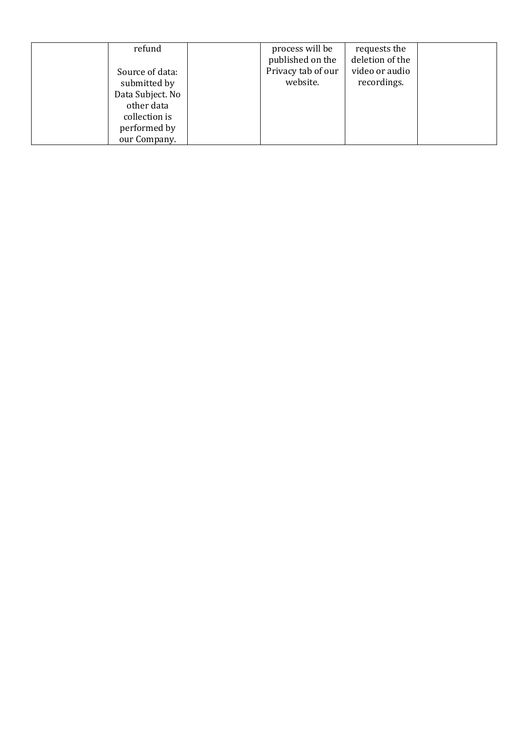| refund           | process will be    | requests the    |  |
|------------------|--------------------|-----------------|--|
|                  | published on the   | deletion of the |  |
| Source of data:  | Privacy tab of our | video or audio  |  |
| submitted by     | website.           | recordings.     |  |
| Data Subject. No |                    |                 |  |
| other data       |                    |                 |  |
| collection is    |                    |                 |  |
| performed by     |                    |                 |  |
| our Company.     |                    |                 |  |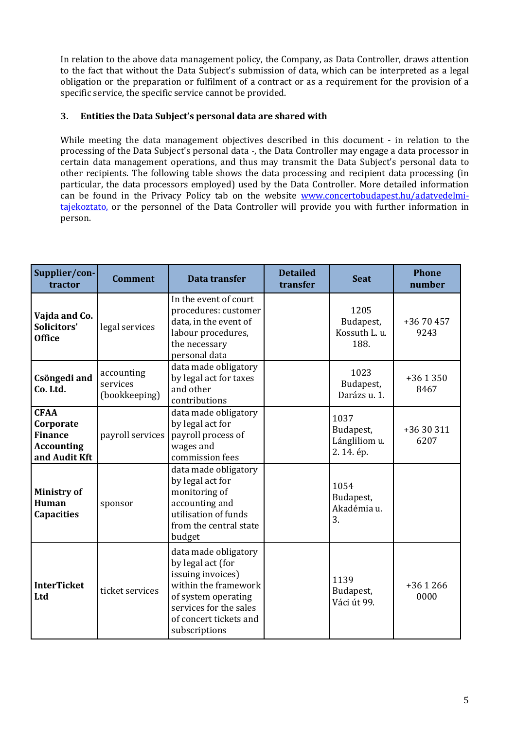In relation to the above data management policy, the Company, as Data Controller, draws attention to the fact that without the Data Subject's submission of data, which can be interpreted as a legal obligation or the preparation or fulfilment of a contract or as a requirement for the provision of a specific service, the specific service cannot be provided.

# **3. Entities the Data Subject's personal data are shared with**

While meeting the data management objectives described in this document - in relation to the processing of the Data Subject's personal data -, the Data Controller may engage a data processor in certain data management operations, and thus may transmit the Data Subject's personal data to other recipients. The following table shows the data processing and recipient data processing (in particular, the data processors employed) used by the Data Controller. More detailed information can be found in the Privacy Policy tab on the website [www.concertobudapest.hu/adatvedelmi](http://www.concertobudapest.hu/adatvedelmi-tajekoztato)[tajekoztato,](http://www.concertobudapest.hu/adatvedelmi-tajekoztato) or the personnel of the Data Controller will provide you with further information in person.

| Supplier/con-<br>tractor                                                         | <b>Comment</b>                          | Data transfer                                                                                                                                                                      | <b>Detailed</b><br>transfer | <b>Seat</b>                                     | <b>Phone</b><br>number |
|----------------------------------------------------------------------------------|-----------------------------------------|------------------------------------------------------------------------------------------------------------------------------------------------------------------------------------|-----------------------------|-------------------------------------------------|------------------------|
| Vajda and Co.<br>Solicitors'<br><b>Office</b>                                    | legal services                          | In the event of court<br>procedures: customer<br>data, in the event of<br>labour procedures,<br>the necessary<br>personal data                                                     |                             | 1205<br>Budapest,<br>Kossuth L. u.<br>188.      | +36 70 457<br>9243     |
| Csöngedi and<br>Co. Ltd.                                                         | accounting<br>services<br>(bookkeeping) | data made obligatory<br>by legal act for taxes<br>and other<br>contributions                                                                                                       |                             | 1023<br>Budapest,<br>Darázs u. 1.               | $+361350$<br>8467      |
| <b>CFAA</b><br>Corporate<br><b>Finance</b><br><b>Accounting</b><br>and Audit Kft | payroll services                        | data made obligatory<br>by legal act for<br>payroll process of<br>wages and<br>commission fees                                                                                     |                             | 1037<br>Budapest,<br>Lángliliom u.<br>2.14. ép. | +36 30 311<br>6207     |
| <b>Ministry of</b><br>Human<br><b>Capacities</b>                                 | sponsor                                 | data made obligatory<br>by legal act for<br>monitoring of<br>accounting and<br>utilisation of funds<br>from the central state<br>budget                                            |                             | 1054<br>Budapest,<br>Akadémia u.<br>3.          |                        |
| <b>InterTicket</b><br>Ltd                                                        | ticket services                         | data made obligatory<br>by legal act (for<br>issuing invoices)<br>within the framework<br>of system operating<br>services for the sales<br>of concert tickets and<br>subscriptions |                             | 1139<br>Budapest,<br>Váci út 99.                | $+361266$<br>0000      |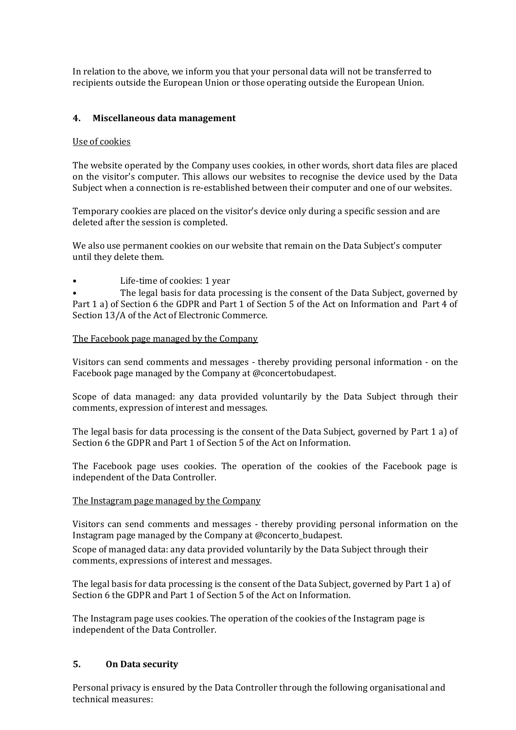In relation to the above, we inform you that your personal data will not be transferred to recipients outside the European Union or those operating outside the European Union.

### **4. Miscellaneous data management**

#### Use of cookies

The website operated by the Company uses cookies, in other words, short data files are placed on the visitor's computer. This allows our websites to recognise the device used by the Data Subject when a connection is re-established between their computer and one of our websites.

Temporary cookies are placed on the visitor's device only during a specific session and are deleted after the session is completed.

We also use permanent cookies on our website that remain on the Data Subject's computer until they delete them.

Life-time of cookies: 1 year

The legal basis for data processing is the consent of the Data Subject, governed by Part 1 a) of Section 6 the GDPR and Part 1 of Section 5 of the Act on Information and Part 4 of Section 13/A of the Act of Electronic Commerce.

#### The Facebook page managed by the Company

Visitors can send comments and messages - thereby providing personal information - on the Facebook page managed by the Company at @concertobudapest.

Scope of data managed: any data provided voluntarily by the Data Subject through their comments, expression of interest and messages.

The legal basis for data processing is the consent of the Data Subject, governed by Part 1 a) of Section 6 the GDPR and Part 1 of Section 5 of the Act on Information.

The Facebook page uses cookies. The operation of the cookies of the Facebook page is independent of the Data Controller.

#### The Instagram page managed by the Company

Visitors can send comments and messages - thereby providing personal information on the Instagram page managed by the Company at @concerto\_budapest.

Scope of managed data: any data provided voluntarily by the Data Subject through their comments, expressions of interest and messages.

The legal basis for data processing is the consent of the Data Subject, governed by Part 1 a) of Section 6 the GDPR and Part 1 of Section 5 of the Act on Information.

The Instagram page uses cookies. The operation of the cookies of the Instagram page is independent of the Data Controller.

#### **5. On Data security**

Personal privacy is ensured by the Data Controller through the following organisational and technical measures: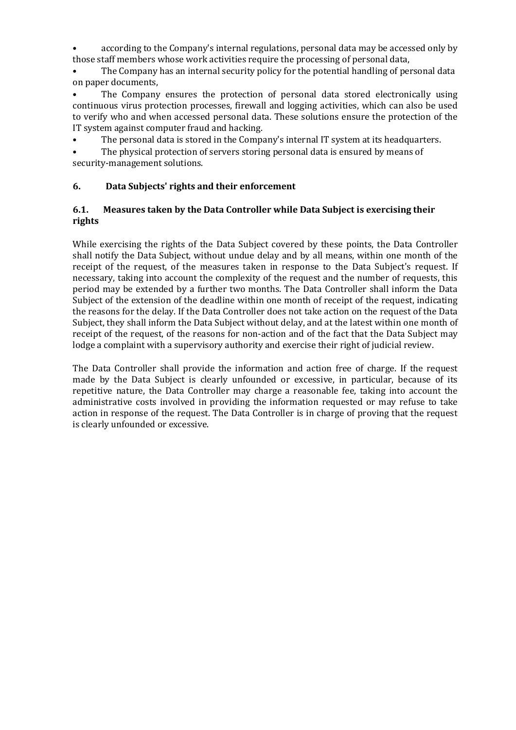• according to the Company's internal regulations, personal data may be accessed only by those staff members whose work activities require the processing of personal data,

The Company has an internal security policy for the potential handling of personal data on paper documents,

• The Company ensures the protection of personal data stored electronically using continuous virus protection processes, firewall and logging activities, which can also be used to verify who and when accessed personal data. These solutions ensure the protection of the IT system against computer fraud and hacking.

The personal data is stored in the Company's internal IT system at its headquarters.

The physical protection of servers storing personal data is ensured by means of security-management solutions.

### **6. Data Subjects' rights and their enforcement**

### **6.1. Measures taken by the Data Controller while Data Subject is exercising their rights**

While exercising the rights of the Data Subject covered by these points, the Data Controller shall notify the Data Subject, without undue delay and by all means, within one month of the receipt of the request, of the measures taken in response to the Data Subject's request. If necessary, taking into account the complexity of the request and the number of requests, this period may be extended by a further two months. The Data Controller shall inform the Data Subject of the extension of the deadline within one month of receipt of the request, indicating the reasons for the delay. If the Data Controller does not take action on the request of the Data Subject, they shall inform the Data Subject without delay, and at the latest within one month of receipt of the request, of the reasons for non-action and of the fact that the Data Subject may lodge a complaint with a supervisory authority and exercise their right of judicial review.

The Data Controller shall provide the information and action free of charge. If the request made by the Data Subject is clearly unfounded or excessive, in particular, because of its repetitive nature, the Data Controller may charge a reasonable fee, taking into account the administrative costs involved in providing the information requested or may refuse to take action in response of the request. The Data Controller is in charge of proving that the request is clearly unfounded or excessive.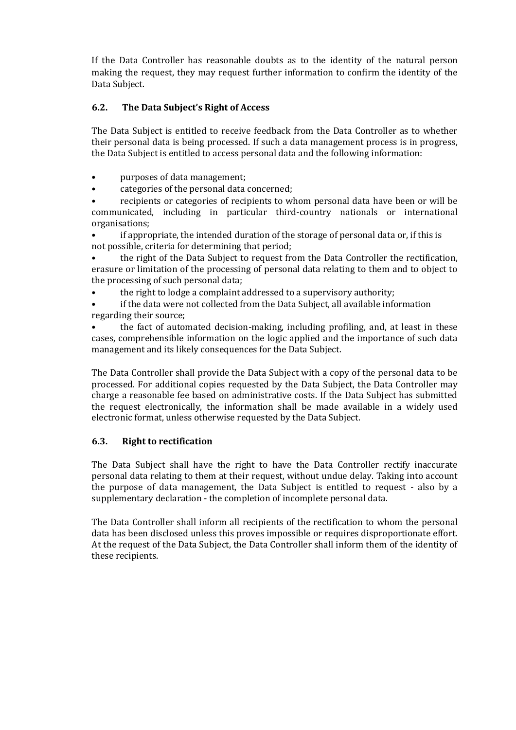If the Data Controller has reasonable doubts as to the identity of the natural person making the request, they may request further information to confirm the identity of the Data Subject.

# **6.2. The Data Subject's Right of Access**

The Data Subject is entitled to receive feedback from the Data Controller as to whether their personal data is being processed. If such a data management process is in progress, the Data Subject is entitled to access personal data and the following information:

- purposes of data management;
- categories of the personal data concerned;

• recipients or categories of recipients to whom personal data have been or will be communicated, including in particular third-country nationals or international organisations;

• if appropriate, the intended duration of the storage of personal data or, if this is not possible, criteria for determining that period;

• the right of the Data Subject to request from the Data Controller the rectification, erasure or limitation of the processing of personal data relating to them and to object to the processing of such personal data;

- the right to lodge a complaint addressed to a supervisory authority;
- if the data were not collected from the Data Subject, all available information regarding their source;

• the fact of automated decision-making, including profiling, and, at least in these cases, comprehensible information on the logic applied and the importance of such data management and its likely consequences for the Data Subject.

The Data Controller shall provide the Data Subject with a copy of the personal data to be processed. For additional copies requested by the Data Subject, the Data Controller may charge a reasonable fee based on administrative costs. If the Data Subject has submitted the request electronically, the information shall be made available in a widely used electronic format, unless otherwise requested by the Data Subject.

#### **6.3. Right to rectification**

The Data Subject shall have the right to have the Data Controller rectify inaccurate personal data relating to them at their request, without undue delay. Taking into account the purpose of data management, the Data Subject is entitled to request - also by a supplementary declaration - the completion of incomplete personal data.

The Data Controller shall inform all recipients of the rectification to whom the personal data has been disclosed unless this proves impossible or requires disproportionate effort. At the request of the Data Subject, the Data Controller shall inform them of the identity of these recipients.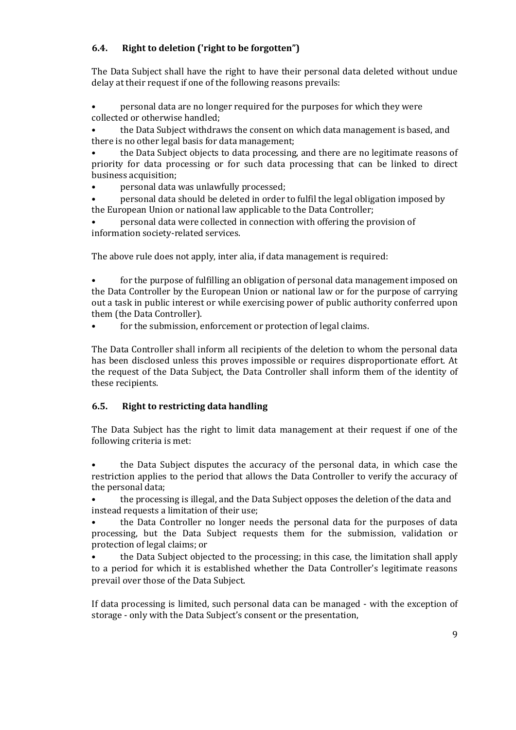# **6.4. Right to deletion ('right to be forgotten")**

The Data Subject shall have the right to have their personal data deleted without undue delay at their request if one of the following reasons prevails:

• personal data are no longer required for the purposes for which they were collected or otherwise handled;

• the Data Subject withdraws the consent on which data management is based, and there is no other legal basis for data management;

• the Data Subject objects to data processing, and there are no legitimate reasons of priority for data processing or for such data processing that can be linked to direct business acquisition;

• personal data was unlawfully processed;

• personal data should be deleted in order to fulfil the legal obligation imposed by the European Union or national law applicable to the Data Controller;

• personal data were collected in connection with offering the provision of information society-related services.

The above rule does not apply, inter alia, if data management is required:

• for the purpose of fulfilling an obligation of personal data management imposed on the Data Controller by the European Union or national law or for the purpose of carrying out a task in public interest or while exercising power of public authority conferred upon them (the Data Controller).

for the submission, enforcement or protection of legal claims.

The Data Controller shall inform all recipients of the deletion to whom the personal data has been disclosed unless this proves impossible or requires disproportionate effort. At the request of the Data Subject, the Data Controller shall inform them of the identity of these recipients.

# **6.5. Right to restricting data handling**

The Data Subject has the right to limit data management at their request if one of the following criteria is met:

• the Data Subject disputes the accuracy of the personal data, in which case the restriction applies to the period that allows the Data Controller to verify the accuracy of the personal data;

• the processing is illegal, and the Data Subject opposes the deletion of the data and instead requests a limitation of their use;

• the Data Controller no longer needs the personal data for the purposes of data processing, but the Data Subject requests them for the submission, validation or protection of legal claims; or

• the Data Subject objected to the processing; in this case, the limitation shall apply to a period for which it is established whether the Data Controller's legitimate reasons prevail over those of the Data Subject.

If data processing is limited, such personal data can be managed - with the exception of storage - only with the Data Subject's consent or the presentation,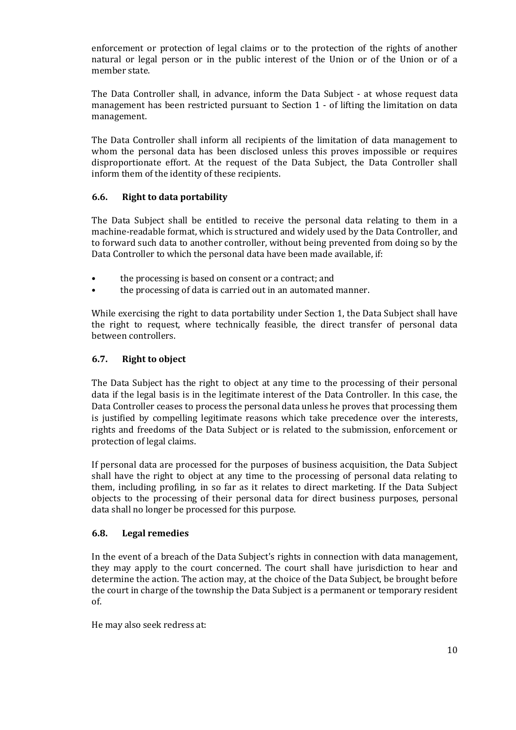enforcement or protection of legal claims or to the protection of the rights of another natural or legal person or in the public interest of the Union or of the Union or of a member state.

The Data Controller shall, in advance, inform the Data Subject - at whose request data management has been restricted pursuant to Section 1 - of lifting the limitation on data management.

The Data Controller shall inform all recipients of the limitation of data management to whom the personal data has been disclosed unless this proves impossible or requires disproportionate effort. At the request of the Data Subject, the Data Controller shall inform them of the identity of these recipients.

### **6.6. Right to data portability**

The Data Subject shall be entitled to receive the personal data relating to them in a machine-readable format, which is structured and widely used by the Data Controller, and to forward such data to another controller, without being prevented from doing so by the Data Controller to which the personal data have been made available, if:

- the processing is based on consent or a contract; and
- the processing of data is carried out in an automated manner.

While exercising the right to data portability under Section 1, the Data Subject shall have the right to request, where technically feasible, the direct transfer of personal data between controllers.

### **6.7. Right to object**

The Data Subject has the right to object at any time to the processing of their personal data if the legal basis is in the legitimate interest of the Data Controller. In this case, the Data Controller ceases to process the personal data unless he proves that processing them is justified by compelling legitimate reasons which take precedence over the interests, rights and freedoms of the Data Subject or is related to the submission, enforcement or protection of legal claims.

If personal data are processed for the purposes of business acquisition, the Data Subject shall have the right to object at any time to the processing of personal data relating to them, including profiling, in so far as it relates to direct marketing. If the Data Subject objects to the processing of their personal data for direct business purposes, personal data shall no longer be processed for this purpose.

#### **6.8. Legal remedies**

In the event of a breach of the Data Subject's rights in connection with data management, they may apply to the court concerned. The court shall have jurisdiction to hear and determine the action. The action may, at the choice of the Data Subject, be brought before the court in charge of the township the Data Subject is a permanent or temporary resident of.

He may also seek redress at: